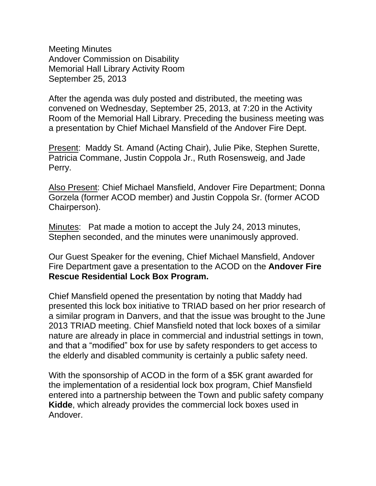Meeting Minutes Andover Commission on Disability Memorial Hall Library Activity Room September 25, 2013

After the agenda was duly posted and distributed, the meeting was convened on Wednesday, September 25, 2013, at 7:20 in the Activity Room of the Memorial Hall Library. Preceding the business meeting was a presentation by Chief Michael Mansfield of the Andover Fire Dept.

Present: Maddy St. Amand (Acting Chair), Julie Pike, Stephen Surette, Patricia Commane, Justin Coppola Jr., Ruth Rosensweig, and Jade Perry.

Also Present: Chief Michael Mansfield, Andover Fire Department; Donna Gorzela (former ACOD member) and Justin Coppola Sr. (former ACOD Chairperson).

Minutes: Pat made a motion to accept the July 24, 2013 minutes, Stephen seconded, and the minutes were unanimously approved.

Our Guest Speaker for the evening, Chief Michael Mansfield, Andover Fire Department gave a presentation to the ACOD on the **Andover Fire Rescue Residential Lock Box Program.**

Chief Mansfield opened the presentation by noting that Maddy had presented this lock box initiative to TRIAD based on her prior research of a similar program in Danvers, and that the issue was brought to the June 2013 TRIAD meeting. Chief Mansfield noted that lock boxes of a similar nature are already in place in commercial and industrial settings in town, and that a "modified" box for use by safety responders to get access to the elderly and disabled community is certainly a public safety need.

With the sponsorship of ACOD in the form of a \$5K grant awarded for the implementation of a residential lock box program, Chief Mansfield entered into a partnership between the Town and public safety company **Kidde**, which already provides the commercial lock boxes used in Andover.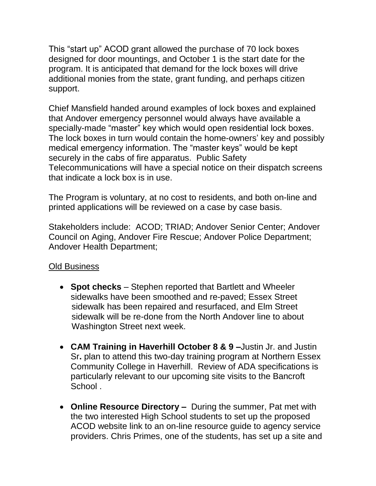This "start up" ACOD grant allowed the purchase of 70 lock boxes designed for door mountings, and October 1 is the start date for the program. It is anticipated that demand for the lock boxes will drive additional monies from the state, grant funding, and perhaps citizen support.

Chief Mansfield handed around examples of lock boxes and explained that Andover emergency personnel would always have available a specially-made "master" key which would open residential lock boxes. The lock boxes in turn would contain the home-owners' key and possibly medical emergency information. The "master keys" would be kept securely in the cabs of fire apparatus. Public Safety Telecommunications will have a special notice on their dispatch screens that indicate a lock box is in use.

The Program is voluntary, at no cost to residents, and both on-line and printed applications will be reviewed on a case by case basis.

Stakeholders include: ACOD; TRIAD; Andover Senior Center; Andover Council on Aging, Andover Fire Rescue; Andover Police Department; Andover Health Department;

# Old Business

- **Spot checks** Stephen reported that Bartlett and Wheeler sidewalks have been smoothed and re-paved; Essex Street sidewalk has been repaired and resurfaced, and Elm Street sidewalk will be re-done from the North Andover line to about Washington Street next week.
- **CAM Training in Haverhill October 8 & 9 –**Justin Jr. and Justin Sr**.** plan to attend this two-day training program at Northern Essex Community College in Haverhill. Review of ADA specifications is particularly relevant to our upcoming site visits to the Bancroft School.
- **Online Resource Directory –** During the summer, Pat met with the two interested High School students to set up the proposed ACOD website link to an on-line resource guide to agency service providers. Chris Primes, one of the students, has set up a site and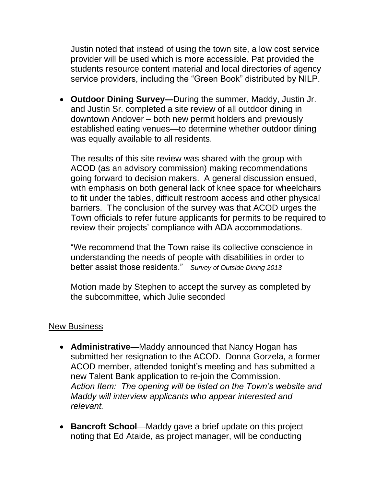Justin noted that instead of using the town site, a low cost service provider will be used which is more accessible. Pat provided the students resource content material and local directories of agency service providers, including the "Green Book" distributed by NILP.

 **Outdoor Dining Survey—**During the summer, Maddy, Justin Jr. and Justin Sr. completed a site review of all outdoor dining in downtown Andover – both new permit holders and previously established eating venues—to determine whether outdoor dining was equally available to all residents.

The results of this site review was shared with the group with ACOD (as an advisory commission) making recommendations going forward to decision makers. A general discussion ensued, with emphasis on both general lack of knee space for wheelchairs to fit under the tables, difficult restroom access and other physical barriers. The conclusion of the survey was that ACOD urges the Town officials to refer future applicants for permits to be required to review their projects' compliance with ADA accommodations.

"We recommend that the Town raise its collective conscience in understanding the needs of people with disabilities in order to better assist those residents." *Survey of Outside Dining 2013*

Motion made by Stephen to accept the survey as completed by the subcommittee, which Julie seconded

#### New Business

- **Administrative—**Maddy announced that Nancy Hogan has submitted her resignation to the ACOD. Donna Gorzela, a former ACOD member, attended tonight's meeting and has submitted a new Talent Bank application to re-join the Commission. *Action Item: The opening will be listed on the Town's website and Maddy will interview applicants who appear interested and relevant.*
- **Bancroft School**—Maddy gave a brief update on this project noting that Ed Ataide, as project manager, will be conducting